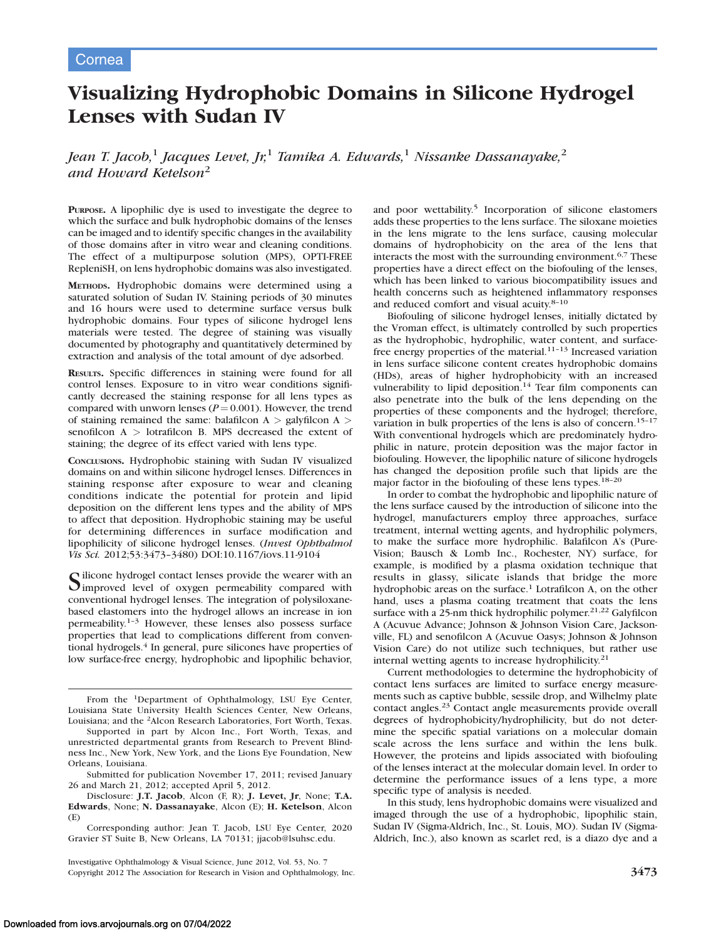# Visualizing Hydrophobic Domains in Silicone Hydrogel Lenses with Sudan IV

Jean T. Jacob,<sup>1</sup> Jacques Levet, Jr,<sup>1</sup> Tamika A. Edwards,<sup>1</sup> Nissanke Dassanayake,<sup>2</sup> and Howard Ketelson<sup>2</sup>

PURPOSE. A lipophilic dye is used to investigate the degree to which the surface and bulk hydrophobic domains of the lenses can be imaged and to identify specific changes in the availability of those domains after in vitro wear and cleaning conditions. The effect of a multipurpose solution (MPS), OPTI-FREE RepleniSH, on lens hydrophobic domains was also investigated.

METHODS. Hydrophobic domains were determined using a saturated solution of Sudan IV. Staining periods of 30 minutes and 16 hours were used to determine surface versus bulk hydrophobic domains. Four types of silicone hydrogel lens materials were tested. The degree of staining was visually documented by photography and quantitatively determined by extraction and analysis of the total amount of dye adsorbed.

RESULTS. Specific differences in staining were found for all control lenses. Exposure to in vitro wear conditions significantly decreased the staining response for all lens types as compared with unworn lenses ( $P = 0.001$ ). However, the trend of staining remained the same: balafilcon  $A >$  galyfilcon  $A >$ senofilcon A > lotrafilcon B. MPS decreased the extent of staining; the degree of its effect varied with lens type.

CONCLUSIONS. Hydrophobic staining with Sudan IV visualized domains on and within silicone hydrogel lenses. Differences in staining response after exposure to wear and cleaning conditions indicate the potential for protein and lipid deposition on the different lens types and the ability of MPS to affect that deposition. Hydrophobic staining may be useful for determining differences in surface modification and lipophilicity of silicone hydrogel lenses. (Invest Ophthalmol Vis Sci. 2012;53:3473–3480) DOI:10.1167/iovs.11-9104

Silicone hydrogel contact lenses provide the wearer with an Simproved level of oxygen permeability compared with conventional hydrogel lenses. The integration of polysiloxanebased elastomers into the hydrogel allows an increase in ion permeability. $1-3$  However, these lenses also possess surface properties that lead to complications different from conventional hydrogels.<sup>4</sup> In general, pure silicones have properties of low surface-free energy, hydrophobic and lipophilic behavior,

From the 1Department of Ophthalmology, LSU Eye Center, Louisiana State University Health Sciences Center, New Orleans, Louisiana; and the 2Alcon Research Laboratories, Fort Worth, Texas. and poor wettability.<sup>5</sup> Incorporation of silicone elastomers adds these properties to the lens surface. The siloxane moieties in the lens migrate to the lens surface, causing molecular domains of hydrophobicity on the area of the lens that interacts the most with the surrounding environment.<sup>6,7</sup> These properties have a direct effect on the biofouling of the lenses, which has been linked to various biocompatibility issues and health concerns such as heightened inflammatory responses and reduced comfort and visual acuity.<sup>8-10</sup>

Biofouling of silicone hydrogel lenses, initially dictated by the Vroman effect, is ultimately controlled by such properties as the hydrophobic, hydrophilic, water content, and surfacefree energy properties of the material.11–13 Increased variation in lens surface silicone content creates hydrophobic domains (HDs), areas of higher hydrophobicity with an increased vulnerability to lipid deposition.<sup>14</sup> Tear film components can also penetrate into the bulk of the lens depending on the properties of these components and the hydrogel; therefore, variation in bulk properties of the lens is also of concern.15–17 With conventional hydrogels which are predominately hydrophilic in nature, protein deposition was the major factor in biofouling. However, the lipophilic nature of silicone hydrogels has changed the deposition profile such that lipids are the major factor in the biofouling of these lens types.<sup>18-20</sup>

In order to combat the hydrophobic and lipophilic nature of the lens surface caused by the introduction of silicone into the hydrogel, manufacturers employ three approaches, surface treatment, internal wetting agents, and hydrophilic polymers, to make the surface more hydrophilic. Balafilcon A's (Pure-Vision; Bausch & Lomb Inc., Rochester, NY) surface, for example, is modified by a plasma oxidation technique that results in glassy, silicate islands that bridge the more hydrophobic areas on the surface.<sup>1</sup> Lotrafilcon A, on the other hand, uses a plasma coating treatment that coats the lens surface with a 25-nm thick hydrophilic polymer.<sup>21,22</sup> Galyfilcon A (Acuvue Advance; Johnson & Johnson Vision Care, Jacksonville, FL) and senofilcon A (Acuvue Oasys; Johnson & Johnson Vision Care) do not utilize such techniques, but rather use internal wetting agents to increase hydrophilicity.21

Current methodologies to determine the hydrophobicity of contact lens surfaces are limited to surface energy measurements such as captive bubble, sessile drop, and Wilhelmy plate contact angles.<sup>23</sup> Contact angle measurements provide overall degrees of hydrophobicity/hydrophilicity, but do not determine the specific spatial variations on a molecular domain scale across the lens surface and within the lens bulk. However, the proteins and lipids associated with biofouling of the lenses interact at the molecular domain level. In order to determine the performance issues of a lens type, a more specific type of analysis is needed.

In this study, lens hydrophobic domains were visualized and imaged through the use of a hydrophobic, lipophilic stain, Sudan IV (Sigma-Aldrich, Inc., St. Louis, MO). Sudan IV (Sigma-Aldrich, Inc.), also known as scarlet red, is a diazo dye and a

Supported in part by Alcon Inc., Fort Worth, Texas, and unrestricted departmental grants from Research to Prevent Blindness Inc., New York, New York, and the Lions Eye Foundation, New Orleans, Louisiana.

Submitted for publication November 17, 2011; revised January 26 and March 21, 2012; accepted April 5, 2012.

Disclosure: J.T. Jacob, Alcon (F, R); J. Levet, Jr, None; T.A. Edwards, None; N. Dassanayake, Alcon (E); H. Ketelson, Alcon (E)

Corresponding author: Jean T. Jacob, LSU Eye Center, 2020 Gravier ST Suite B, New Orleans, LA 70131; jjacob@lsuhsc.edu.

Investigative Ophthalmology & Visual Science, June 2012, Vol. 53, No. 7

Copyright 2012 The Association for Research in Vision and Ophthalmology, Inc. 3473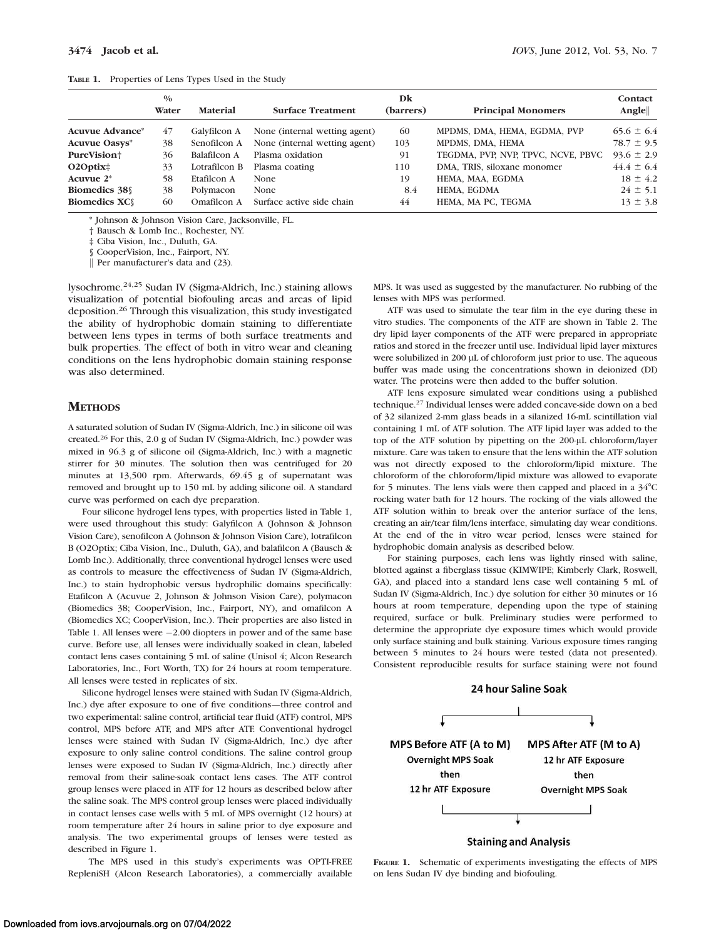TABLE 1. Properties of Lens Types Used in the Study

|                         | $\frac{0}{0}$ |                 | Dk                            |           |                                    | Contact        |  |
|-------------------------|---------------|-----------------|-------------------------------|-----------|------------------------------------|----------------|--|
|                         | Water         | <b>Material</b> | <b>Surface Treatment</b>      | (barrers) | <b>Principal Monomers</b>          | Angle          |  |
| <b>Acuvue Advance*</b>  | 47            | Galvfilcon A    | None (internal wetting agent) | -60       | MPDMS, DMA, HEMA, EGDMA, PVP       | $65.6 \pm 6.4$ |  |
| <b>Acuvue Oasys*</b>    | 38            | Senofilcon A    | None (internal wetting agent) | 103       | MPDMS, DMA, HEMA                   | $78.7 \pm 9.5$ |  |
| PureVision <sup>+</sup> | 36            | Balafilcon A    | Plasma oxidation              | 91        | TEGDMA, PVP, NVP, TPVC, NCVE, PBVC | $93.6 \pm 2.9$ |  |
| O20ptix                 | 33            | Lotrafilcon B   | Plasma coating                | 110       | DMA, TRIS, siloxane monomer        | $44.4 \pm 6.4$ |  |
| Acuvue $2^*$            | 58            | Etafilcon A     | None                          | 19        | HEMA, MAA, EGDMA                   | $18 \pm 4.2$   |  |
| <b>Biomedics 38</b>     | 38            | Polymacon       | None                          | 8.4       | HEMA, EGDMA                        | $24 \pm 5.1$   |  |
| <b>Biomedics XC</b>     | 60            | Omafilcon A     | Surface active side chain     | 44        | HEMA, MA PC, TEGMA                 | $13 \pm 3.8$   |  |

\* Johnson & Johnson Vision Care, Jacksonville, FL.

† Bausch & Lomb Inc., Rochester, NY.

‡ Ciba Vision, Inc., Duluth, GA.

§ CooperVision, Inc., Fairport, NY.

 $\parallel$  Per manufacturer's data and (23).

lysochrome.24,25 Sudan IV (Sigma-Aldrich, Inc.) staining allows visualization of potential biofouling areas and areas of lipid deposition.<sup>26</sup> Through this visualization, this study investigated the ability of hydrophobic domain staining to differentiate between lens types in terms of both surface treatments and bulk properties. The effect of both in vitro wear and cleaning conditions on the lens hydrophobic domain staining response was also determined.

#### **METHODS**

A saturated solution of Sudan IV (Sigma-Aldrich, Inc.) in silicone oil was created.26 For this, 2.0 g of Sudan IV (Sigma-Aldrich, Inc.) powder was mixed in 96.3 g of silicone oil (Sigma-Aldrich, Inc.) with a magnetic stirrer for 30 minutes. The solution then was centrifuged for 20 minutes at 13,500 rpm. Afterwards, 69.45 g of supernatant was removed and brought up to 150 mL by adding silicone oil. A standard curve was performed on each dye preparation.

Four silicone hydrogel lens types, with properties listed in Table 1, were used throughout this study: Galyfilcon A (Johnson & Johnson Vision Care), senofilcon A (Johnson & Johnson Vision Care), lotrafilcon B (O2Optix; Ciba Vision, Inc., Duluth, GA), and balafilcon A (Bausch & Lomb Inc.). Additionally, three conventional hydrogel lenses were used as controls to measure the effectiveness of Sudan IV (Sigma-Aldrich, Inc.) to stain hydrophobic versus hydrophilic domains specifically: Etafilcon A (Acuvue 2, Johnson & Johnson Vision Care), polymacon (Biomedics 38; CooperVision, Inc., Fairport, NY), and omafilcon A (Biomedics XC; CooperVision, Inc.). Their properties are also listed in Table 1. All lenses were  $-2.00$  diopters in power and of the same base curve. Before use, all lenses were individually soaked in clean, labeled contact lens cases containing 5 mL of saline (Unisol 4; Alcon Research Laboratories, Inc., Fort Worth, TX) for 24 hours at room temperature. All lenses were tested in replicates of six.

Silicone hydrogel lenses were stained with Sudan IV (Sigma-Aldrich, Inc.) dye after exposure to one of five conditions—three control and two experimental: saline control, artificial tear fluid (ATF) control, MPS control, MPS before ATF, and MPS after ATF. Conventional hydrogel lenses were stained with Sudan IV (Sigma-Aldrich, Inc.) dye after exposure to only saline control conditions. The saline control group lenses were exposed to Sudan IV (Sigma-Aldrich, Inc.) directly after removal from their saline-soak contact lens cases. The ATF control group lenses were placed in ATF for 12 hours as described below after the saline soak. The MPS control group lenses were placed individually in contact lenses case wells with 5 mL of MPS overnight (12 hours) at room temperature after 24 hours in saline prior to dye exposure and analysis. The two experimental groups of lenses were tested as described in Figure 1.

The MPS used in this study's experiments was OPTI-FREE RepleniSH (Alcon Research Laboratories), a commercially available

MPS. It was used as suggested by the manufacturer. No rubbing of the lenses with MPS was performed.

ATF was used to simulate the tear film in the eye during these in vitro studies. The components of the ATF are shown in Table 2. The dry lipid layer components of the ATF were prepared in appropriate ratios and stored in the freezer until use. Individual lipid layer mixtures were solubilized in 200 µL of chloroform just prior to use. The aqueous buffer was made using the concentrations shown in deionized (DI) water. The proteins were then added to the buffer solution.

ATF lens exposure simulated wear conditions using a published technique.27 Individual lenses were added concave-side down on a bed of 32 silanized 2-mm glass beads in a silanized 16-mL scintillation vial containing 1 mL of ATF solution. The ATF lipid layer was added to the top of the ATF solution by pipetting on the 200-µL chloroform/layer mixture. Care was taken to ensure that the lens within the ATF solution was not directly exposed to the chloroform/lipid mixture. The chloroform of the chloroform/lipid mixture was allowed to evaporate for 5 minutes. The lens vials were then capped and placed in a  $34^{\circ}$ C rocking water bath for 12 hours. The rocking of the vials allowed the ATF solution within to break over the anterior surface of the lens, creating an air/tear film/lens interface, simulating day wear conditions. At the end of the in vitro wear period, lenses were stained for hydrophobic domain analysis as described below.

For staining purposes, each lens was lightly rinsed with saline, blotted against a fiberglass tissue (KIMWIPE; Kimberly Clark, Roswell, GA), and placed into a standard lens case well containing 5 mL of Sudan IV (Sigma-Aldrich, Inc.) dye solution for either 30 minutes or 16 hours at room temperature, depending upon the type of staining required, surface or bulk. Preliminary studies were performed to determine the appropriate dye exposure times which would provide only surface staining and bulk staining. Various exposure times ranging between 5 minutes to 24 hours were tested (data not presented). Consistent reproducible results for surface staining were not found





**Staining and Analysis** 

FIGURE 1. Schematic of experiments investigating the effects of MPS on lens Sudan IV dye binding and biofouling.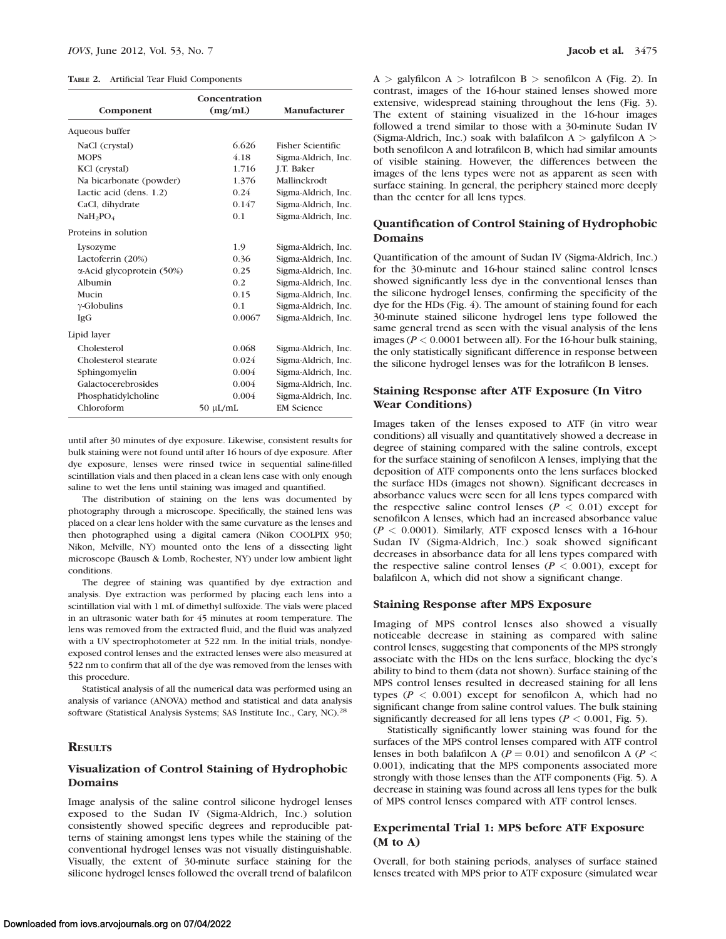| TABLE 2. |  |  |  | Artificial Tear Fluid Components |
|----------|--|--|--|----------------------------------|
|----------|--|--|--|----------------------------------|

| Component                         | Concentration<br>(mg/mL) | <b>Manufacturer</b>      |
|-----------------------------------|--------------------------|--------------------------|
| Aqueous buffer                    |                          |                          |
| NaCl (crystal)                    | 6.626                    | <b>Fisher Scientific</b> |
| <b>MOPS</b>                       | 4 1 8                    | Sigma-Aldrich, Inc.      |
| KCl (crystal)                     | 1.716                    | J.T. Baker               |
| Na bicarbonate (powder)           | 1.376                    | Mallinckrodt             |
| Lactic acid (dens. 1.2)           | 0.24                     | Sigma-Aldrich, Inc.      |
| CaCl, dihydrate                   | 0.147                    | Sigma-Aldrich, Inc.      |
| NaH <sub>2</sub> PO <sub>4</sub>  | 0.1                      | Sigma-Aldrich, Inc.      |
| Proteins in solution              |                          |                          |
| Lysozyme                          | 1.9                      | Sigma-Aldrich, Inc.      |
| Lactoferrin (20%)                 | 0.36                     | Sigma-Aldrich, Inc.      |
| $\alpha$ -Acid glycoprotein (50%) | 0.25                     | Sigma-Aldrich, Inc.      |
| Albumin                           | 0.2                      | Sigma-Aldrich, Inc.      |
| Mucin                             | 0.15                     | Sigma-Aldrich, Inc.      |
| $\gamma$ -Globulins               | 0.1                      | Sigma-Aldrich, Inc.      |
| <b>IgG</b>                        | 0.0067                   | Sigma-Aldrich, Inc.      |
| Lipid layer                       |                          |                          |
| Cholesterol                       | 0.068                    | Sigma-Aldrich, Inc.      |
| Cholesterol stearate              | 0.024                    | Sigma-Aldrich, Inc.      |
| Sphingomyelin                     | 0.004                    | Sigma-Aldrich, Inc.      |
| Galactocerebrosides               | 0.004                    | Sigma-Aldrich, Inc.      |
| Phosphatidylcholine               | 0.004                    | Sigma-Aldrich, Inc.      |
| Chloroform                        | $50 \mu L/mL$            | <b>EM</b> Science        |

until after 30 minutes of dye exposure. Likewise, consistent results for bulk staining were not found until after 16 hours of dye exposure. After dye exposure, lenses were rinsed twice in sequential saline-filled scintillation vials and then placed in a clean lens case with only enough saline to wet the lens until staining was imaged and quantified.

The distribution of staining on the lens was documented by photography through a microscope. Specifically, the stained lens was placed on a clear lens holder with the same curvature as the lenses and then photographed using a digital camera (Nikon COOLPIX 950; Nikon, Melville, NY) mounted onto the lens of a dissecting light microscope (Bausch & Lomb, Rochester, NY) under low ambient light conditions.

The degree of staining was quantified by dye extraction and analysis. Dye extraction was performed by placing each lens into a scintillation vial with 1 mL of dimethyl sulfoxide. The vials were placed in an ultrasonic water bath for 45 minutes at room temperature. The lens was removed from the extracted fluid, and the fluid was analyzed with a UV spectrophotometer at 522 nm. In the initial trials, nondyeexposed control lenses and the extracted lenses were also measured at 522 nm to confirm that all of the dye was removed from the lenses with this procedure.

Statistical analysis of all the numerical data was performed using an analysis of variance (ANOVA) method and statistical and data analysis software (Statistical Analysis Systems; SAS Institute Inc., Cary, NC).<sup>28</sup>

#### **RESULTS**

# Visualization of Control Staining of Hydrophobic Domains

Image analysis of the saline control silicone hydrogel lenses exposed to the Sudan IV (Sigma-Aldrich, Inc.) solution consistently showed specific degrees and reproducible patterns of staining amongst lens types while the staining of the conventional hydrogel lenses was not visually distinguishable. Visually, the extent of 30-minute surface staining for the silicone hydrogel lenses followed the overall trend of balafilcon  $A >$  galyfilcon  $A >$  lotrafilcon  $B >$  senofilcon A (Fig. 2). In contrast, images of the 16-hour stained lenses showed more extensive, widespread staining throughout the lens (Fig. 3). The extent of staining visualized in the 16-hour images followed a trend similar to those with a 30-minute Sudan IV (Sigma-Aldrich, Inc.) soak with balafilcon  $A >$  galyfilcon  $A >$ both senofilcon A and lotrafilcon B, which had similar amounts of visible staining. However, the differences between the images of the lens types were not as apparent as seen with surface staining. In general, the periphery stained more deeply than the center for all lens types.

## Quantification of Control Staining of Hydrophobic Domains

Quantification of the amount of Sudan IV (Sigma-Aldrich, Inc.) for the 30-minute and 16-hour stained saline control lenses showed significantly less dye in the conventional lenses than the silicone hydrogel lenses, confirming the specificity of the dye for the HDs (Fig. 4). The amount of staining found for each 30-minute stained silicone hydrogel lens type followed the same general trend as seen with the visual analysis of the lens images ( $P < 0.0001$  between all). For the 16-hour bulk staining, the only statistically significant difference in response between the silicone hydrogel lenses was for the lotrafilcon B lenses.

# Staining Response after ATF Exposure (In Vitro Wear Conditions)

Images taken of the lenses exposed to ATF (in vitro wear conditions) all visually and quantitatively showed a decrease in degree of staining compared with the saline controls, except for the surface staining of senofilcon A lenses, implying that the deposition of ATF components onto the lens surfaces blocked the surface HDs (images not shown). Significant decreases in absorbance values were seen for all lens types compared with the respective saline control lenses ( $P < 0.01$ ) except for senofilcon A lenses, which had an increased absorbance value  $(P < 0.0001)$ . Similarly, ATF exposed lenses with a 16-hour Sudan IV (Sigma-Aldrich, Inc.) soak showed significant decreases in absorbance data for all lens types compared with the respective saline control lenses ( $P < 0.001$ ), except for balafilcon A, which did not show a significant change.

#### Staining Response after MPS Exposure

Imaging of MPS control lenses also showed a visually noticeable decrease in staining as compared with saline control lenses, suggesting that components of the MPS strongly associate with the HDs on the lens surface, blocking the dye's ability to bind to them (data not shown). Surface staining of the MPS control lenses resulted in decreased staining for all lens types ( $P < 0.001$ ) except for senofilcon A, which had no significant change from saline control values. The bulk staining significantly decreased for all lens types ( $P < 0.001$ , Fig. 5).

Statistically significantly lower staining was found for the surfaces of the MPS control lenses compared with ATF control lenses in both balafilcon A ( $P = 0.01$ ) and senofilcon A ( $P <$ 0.001), indicating that the MPS components associated more strongly with those lenses than the ATF components (Fig. 5). A decrease in staining was found across all lens types for the bulk of MPS control lenses compared with ATF control lenses.

## Experimental Trial 1: MPS before ATF Exposure (M to A)

Overall, for both staining periods, analyses of surface stained lenses treated with MPS prior to ATF exposure (simulated wear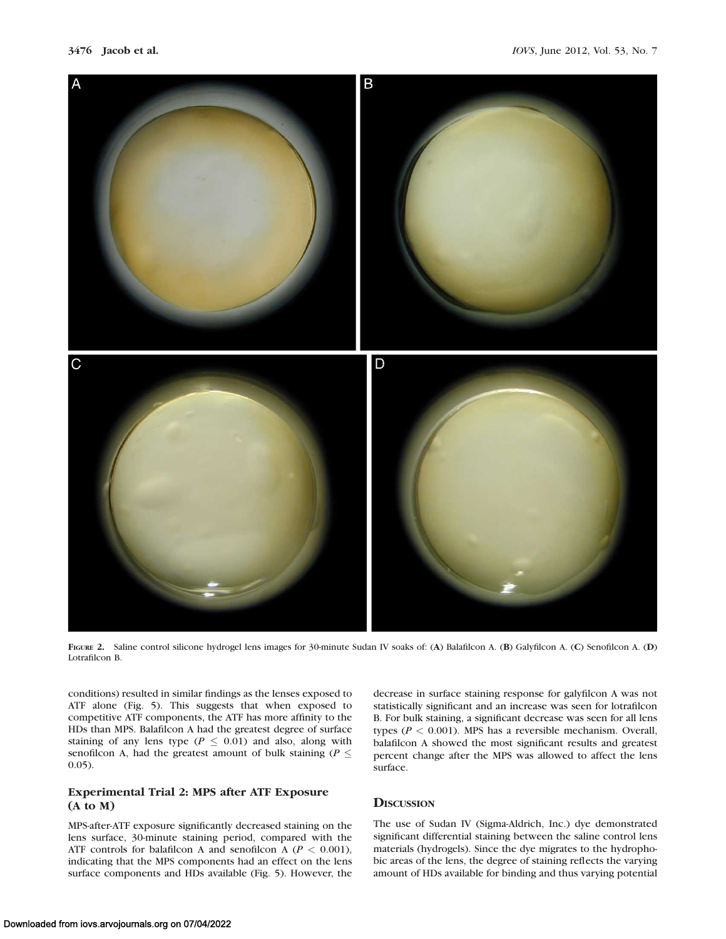

FIGURE 2. Saline control silicone hydrogel lens images for 30-minute Sudan IV soaks of: (A) Balafilcon A. (B) Galyfilcon A. (C) Senofilcon A. (D) Lotrafilcon B.

conditions) resulted in similar findings as the lenses exposed to ATF alone (Fig. 5). This suggests that when exposed to competitive ATF components, the ATF has more affinity to the HDs than MPS. Balafilcon A had the greatest degree of surface staining of any lens type ( $P \leq 0.01$ ) and also, along with senofilcon A, had the greatest amount of bulk staining ( $P \leq$ 0.05).

# Experimental Trial 2: MPS after ATF Exposure (A to M)

MPS-after-ATF exposure significantly decreased staining on the lens surface, 30-minute staining period, compared with the ATF controls for balafilcon A and senofilcon A ( $P < 0.001$ ), indicating that the MPS components had an effect on the lens surface components and HDs available (Fig. 5). However, the

decrease in surface staining response for galyfilcon A was not statistically significant and an increase was seen for lotrafilcon B. For bulk staining, a significant decrease was seen for all lens types ( $P < 0.001$ ). MPS has a reversible mechanism. Overall, balafilcon A showed the most significant results and greatest percent change after the MPS was allowed to affect the lens surface.

### **DISCUSSION**

The use of Sudan IV (Sigma-Aldrich, Inc.) dye demonstrated significant differential staining between the saline control lens materials (hydrogels). Since the dye migrates to the hydrophobic areas of the lens, the degree of staining reflects the varying amount of HDs available for binding and thus varying potential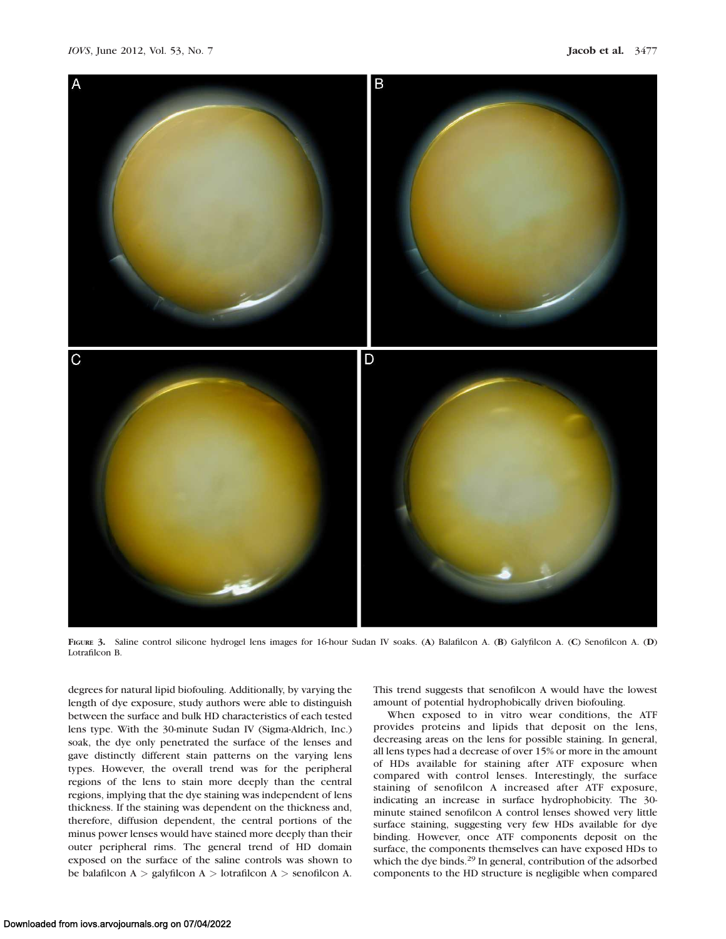

FIGURE 3. Saline control silicone hydrogel lens images for 16-hour Sudan IV soaks. (A) Balafilcon A. (B) Galyfilcon A. (C) Senofilcon A. (D) Lotrafilcon B.

degrees for natural lipid biofouling. Additionally, by varying the length of dye exposure, study authors were able to distinguish between the surface and bulk HD characteristics of each tested lens type. With the 30-minute Sudan IV (Sigma-Aldrich, Inc.) soak, the dye only penetrated the surface of the lenses and gave distinctly different stain patterns on the varying lens types. However, the overall trend was for the peripheral regions of the lens to stain more deeply than the central regions, implying that the dye staining was independent of lens thickness. If the staining was dependent on the thickness and, therefore, diffusion dependent, the central portions of the minus power lenses would have stained more deeply than their outer peripheral rims. The general trend of HD domain exposed on the surface of the saline controls was shown to be balafilcon  $A >$  galyfilcon  $A >$  lotrafilcon  $A >$  senofilcon A.

This trend suggests that senofilcon A would have the lowest amount of potential hydrophobically driven biofouling.

When exposed to in vitro wear conditions, the ATF provides proteins and lipids that deposit on the lens, decreasing areas on the lens for possible staining. In general, all lens types had a decrease of over 15% or more in the amount of HDs available for staining after ATF exposure when compared with control lenses. Interestingly, the surface staining of senofilcon A increased after ATF exposure, indicating an increase in surface hydrophobicity. The 30 minute stained senofilcon A control lenses showed very little surface staining, suggesting very few HDs available for dye binding. However, once ATF components deposit on the surface, the components themselves can have exposed HDs to which the dye binds.<sup>29</sup> In general, contribution of the adsorbed components to the HD structure is negligible when compared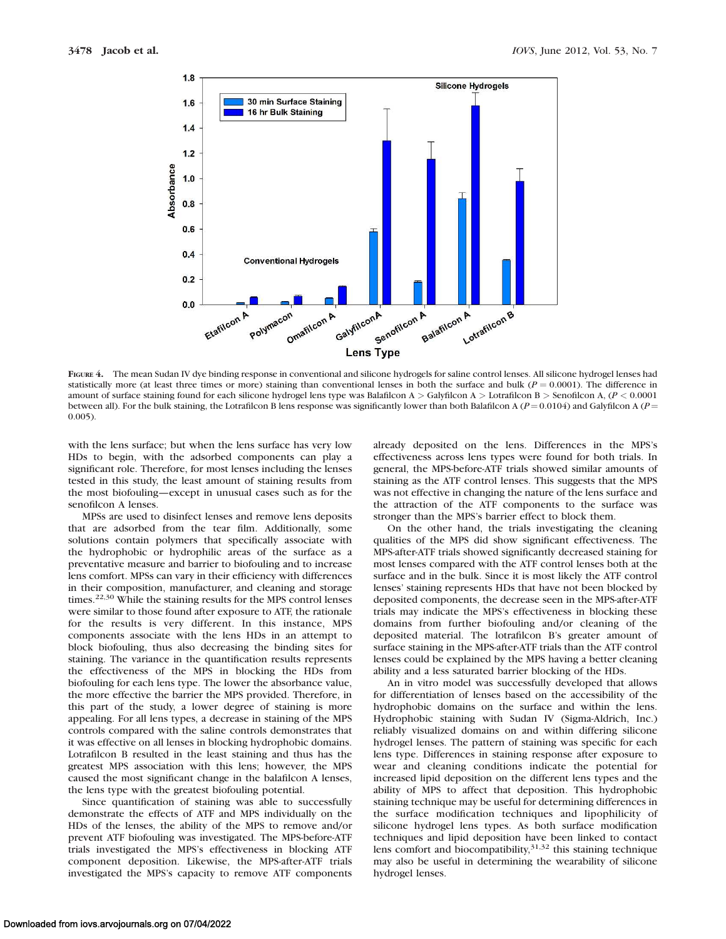

FIGURE 4. The mean Sudan IV dye binding response in conventional and silicone hydrogels for saline control lenses. All silicone hydrogel lenses had statistically more (at least three times or more) staining than conventional lenses in both the surface and bulk ( $P = 0.0001$ ). The difference in amount of surface staining found for each silicone hydrogel lens type was Balafilcon A > Galyfilcon A > Lotrafilcon B > Senofilcon A, (P < 0.0001 between all). For the bulk staining, the Lotrafilcon B lens response was significantly lower than both Balafilcon A ( $P = 0.0104$ ) and Galyfilcon A ( $P = 0.0104$ ) 0.005).

with the lens surface; but when the lens surface has very low HDs to begin, with the adsorbed components can play a significant role. Therefore, for most lenses including the lenses tested in this study, the least amount of staining results from the most biofouling—except in unusual cases such as for the senofilcon A lenses.

MPSs are used to disinfect lenses and remove lens deposits that are adsorbed from the tear film. Additionally, some solutions contain polymers that specifically associate with the hydrophobic or hydrophilic areas of the surface as a preventative measure and barrier to biofouling and to increase lens comfort. MPSs can vary in their efficiency with differences in their composition, manufacturer, and cleaning and storage times.22,30 While the staining results for the MPS control lenses were similar to those found after exposure to ATF, the rationale for the results is very different. In this instance, MPS components associate with the lens HDs in an attempt to block biofouling, thus also decreasing the binding sites for staining. The variance in the quantification results represents the effectiveness of the MPS in blocking the HDs from biofouling for each lens type. The lower the absorbance value, the more effective the barrier the MPS provided. Therefore, in this part of the study, a lower degree of staining is more appealing. For all lens types, a decrease in staining of the MPS controls compared with the saline controls demonstrates that it was effective on all lenses in blocking hydrophobic domains. Lotrafilcon B resulted in the least staining and thus has the greatest MPS association with this lens; however, the MPS caused the most significant change in the balafilcon A lenses, the lens type with the greatest biofouling potential.

Since quantification of staining was able to successfully demonstrate the effects of ATF and MPS individually on the HDs of the lenses, the ability of the MPS to remove and/or prevent ATF biofouling was investigated. The MPS-before-ATF trials investigated the MPS's effectiveness in blocking ATF component deposition. Likewise, the MPS-after-ATF trials investigated the MPS's capacity to remove ATF components already deposited on the lens. Differences in the MPS's effectiveness across lens types were found for both trials. In general, the MPS-before-ATF trials showed similar amounts of staining as the ATF control lenses. This suggests that the MPS was not effective in changing the nature of the lens surface and the attraction of the ATF components to the surface was stronger than the MPS's barrier effect to block them.

On the other hand, the trials investigating the cleaning qualities of the MPS did show significant effectiveness. The MPS-after-ATF trials showed significantly decreased staining for most lenses compared with the ATF control lenses both at the surface and in the bulk. Since it is most likely the ATF control lenses' staining represents HDs that have not been blocked by deposited components, the decrease seen in the MPS-after-ATF trials may indicate the MPS's effectiveness in blocking these domains from further biofouling and/or cleaning of the deposited material. The lotrafilcon B's greater amount of surface staining in the MPS-after-ATF trials than the ATF control lenses could be explained by the MPS having a better cleaning ability and a less saturated barrier blocking of the HDs.

An in vitro model was successfully developed that allows for differentiation of lenses based on the accessibility of the hydrophobic domains on the surface and within the lens. Hydrophobic staining with Sudan IV (Sigma-Aldrich, Inc.) reliably visualized domains on and within differing silicone hydrogel lenses. The pattern of staining was specific for each lens type. Differences in staining response after exposure to wear and cleaning conditions indicate the potential for increased lipid deposition on the different lens types and the ability of MPS to affect that deposition. This hydrophobic staining technique may be useful for determining differences in the surface modification techniques and lipophilicity of silicone hydrogel lens types. As both surface modification techniques and lipid deposition have been linked to contact lens comfort and biocompatibility, $31,32$  this staining technique may also be useful in determining the wearability of silicone hydrogel lenses.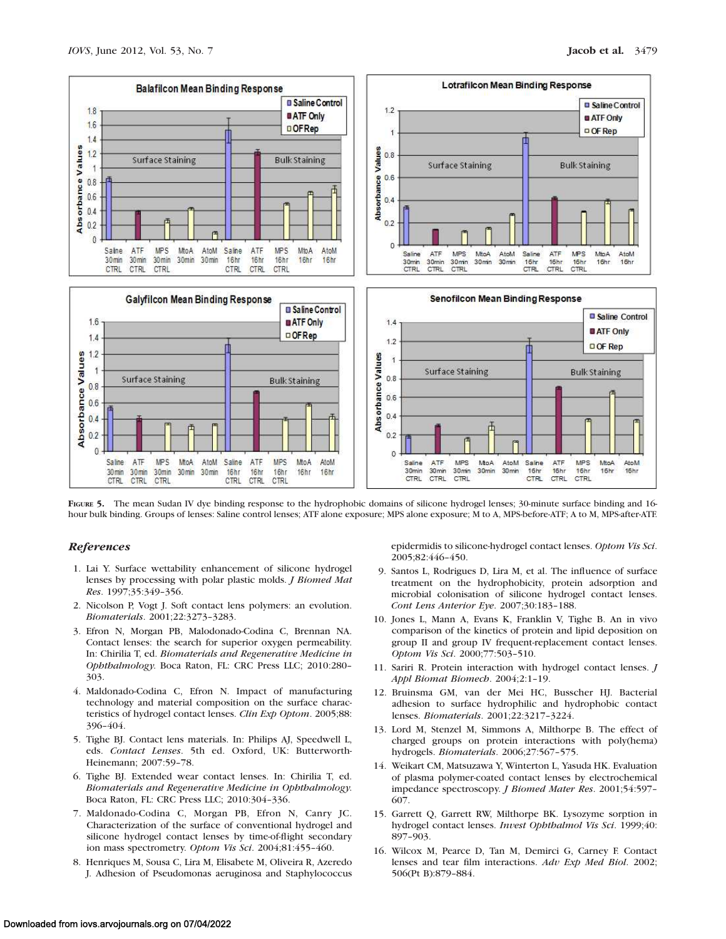

FIGURE 5. The mean Sudan IV dye binding response to the hydrophobic domains of silicone hydrogel lenses; 30-minute surface binding and 16hour bulk binding. Groups of lenses: Saline control lenses; ATF alone exposure; MPS alone exposure; M to A, MPS-before-ATF; A to M, MPS-after-ATF.

#### References

- 1. Lai Y. Surface wettability enhancement of silicone hydrogel lenses by processing with polar plastic molds. J Biomed Mat Res. 1997;35:349–356.
- 2. Nicolson P, Vogt J. Soft contact lens polymers: an evolution. Biomaterials. 2001;22:3273–3283.
- 3. Efron N, Morgan PB, Malodonado-Codina C, Brennan NA. Contact lenses: the search for superior oxygen permeability. In: Chirilia T, ed. Biomaterials and Regenerative Medicine in Ophthalmology. Boca Raton, FL: CRC Press LLC; 2010:280– 303.
- 4. Maldonado-Codina C, Efron N. Impact of manufacturing technology and material composition on the surface characteristics of hydrogel contact lenses. Clin Exp Optom. 2005;88: 396–404.
- 5. Tighe BJ. Contact lens materials. In: Philips AJ, Speedwell L, eds. Contact Lenses. 5th ed. Oxford, UK: Butterworth-Heinemann; 2007:59–78.
- 6. Tighe BJ. Extended wear contact lenses. In: Chirilia T, ed. Biomaterials and Regenerative Medicine in Ophthalmology. Boca Raton, FL: CRC Press LLC; 2010:304–336.
- 7. Maldonado-Codina C, Morgan PB, Efron N, Canry JC. Characterization of the surface of conventional hydrogel and silicone hydrogel contact lenses by time-of-flight secondary ion mass spectrometry. Optom Vis Sci. 2004;81:455–460.
- 8. Henriques M, Sousa C, Lira M, Elisabete M, Oliveira R, Azeredo J. Adhesion of Pseudomonas aeruginosa and Staphylococcus

epidermidis to silicone-hydrogel contact lenses. Optom Vis Sci. 2005;82:446–450.

- 9. Santos L, Rodrigues D, Lira M, et al. The influence of surface treatment on the hydrophobicity, protein adsorption and microbial colonisation of silicone hydrogel contact lenses. Cont Lens Anterior Eye. 2007;30:183–188.
- 10. Jones L, Mann A, Evans K, Franklin V, Tighe B. An in vivo comparison of the kinetics of protein and lipid deposition on group II and group IV frequent-replacement contact lenses. Optom Vis Sci. 2000;77:503–510.
- 11. Sariri R. Protein interaction with hydrogel contact lenses. J Appl Biomat Biomech. 2004;2:1–19.
- 12. Bruinsma GM, van der Mei HC, Busscher HJ. Bacterial adhesion to surface hydrophilic and hydrophobic contact lenses. Biomaterials. 2001;22:3217–3224.
- 13. Lord M, Stenzel M, Simmons A, Milthorpe B. The effect of charged groups on protein interactions with poly(hema) hydrogels. Biomaterials. 2006;27:567–575.
- 14. Weikart CM, Matsuzawa Y, Winterton L, Yasuda HK. Evaluation of plasma polymer-coated contact lenses by electrochemical impedance spectroscopy. J Biomed Mater Res. 2001;54:597– 607.
- 15. Garrett Q, Garrett RW, Milthorpe BK. Lysozyme sorption in hydrogel contact lenses. Invest Ophthalmol Vis Sci. 1999;40: 897–903.
- 16. Wilcox M, Pearce D, Tan M, Demirci G, Carney F. Contact lenses and tear film interactions. Adv Exp Med Biol. 2002; 506(Pt B):879–884.